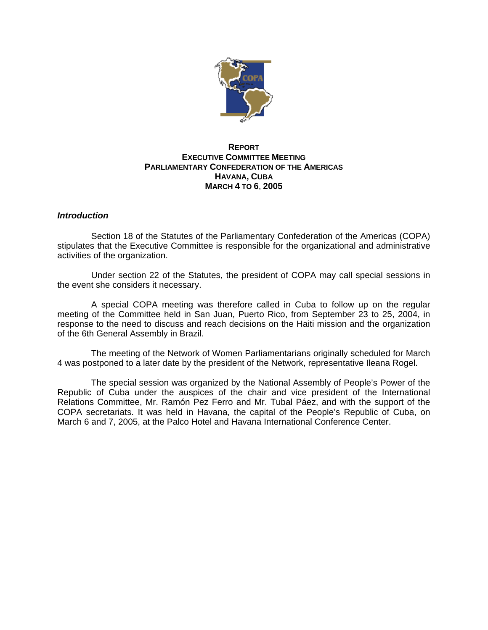

# **REPORT EXECUTIVE COMMITTEE MEETING PARLIAMENTARY CONFEDERATION OF THE AMERICAS HAVANA, CUBA MARCH 4 TO 6**, **2005**

## *Introduction*

Section 18 of the Statutes of the Parliamentary Confederation of the Americas (COPA) stipulates that the Executive Committee is responsible for the organizational and administrative activities of the organization.

Under section 22 of the Statutes, the president of COPA may call special sessions in the event she considers it necessary.

A special COPA meeting was therefore called in Cuba to follow up on the regular meeting of the Committee held in San Juan, Puerto Rico, from September 23 to 25, 2004, in response to the need to discuss and reach decisions on the Haiti mission and the organization of the 6th General Assembly in Brazil.

The meeting of the Network of Women Parliamentarians originally scheduled for March 4 was postponed to a later date by the president of the Network, representative Ileana Rogel.

The special session was organized by the National Assembly of People's Power of the Republic of Cuba under the auspices of the chair and vice president of the International Relations Committee, Mr. Ramón Pez Ferro and Mr. Tubal Páez, and with the support of the COPA secretariats. It was held in Havana, the capital of the People's Republic of Cuba, on March 6 and 7, 2005, at the Palco Hotel and Havana International Conference Center.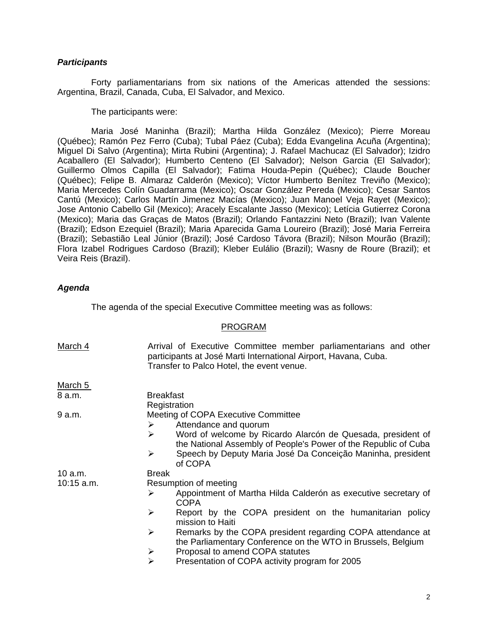## *Participants*

Forty parliamentarians from six nations of the Americas attended the sessions: Argentina, Brazil, Canada, Cuba, El Salvador, and Mexico.

The participants were:

Maria José Maninha (Brazil); Martha Hilda González (Mexico); Pierre Moreau (Québec); Ramón Pez Ferro (Cuba); Tubal Páez (Cuba); Edda Evangelina Acuña (Argentina); Miguel Di Salvo (Argentina); Mirta Rubini (Argentina); J. Rafael Machucaz (El Salvador); Izidro Acaballero (El Salvador); Humberto Centeno (El Salvador); Nelson Garcia (El Salvador); Guillermo Olmos Capilla (El Salvador); Fatima Houda-Pepin (Québec); Claude Boucher (Québec); Felipe B. Almaraz Calderón (Mexico); Víctor Humberto Benítez Treviño (Mexico); Maria Mercedes Colín Guadarrama (Mexico); Oscar González Pereda (Mexico); Cesar Santos Cantú (Mexico); Carlos Martín Jimenez Macías (Mexico); Juan Manoel Veja Rayet (Mexico); Jose Antonio Cabello Gil (Mexico); Aracely Escalante Jasso (Mexico); Letícia Gutierrez Corona (Mexico); Maria das Graças de Matos (Brazil); Orlando Fantazzini Neto (Brazil); Ivan Valente (Brazil); Edson Ezequiel (Brazil); Maria Aparecida Gama Loureiro (Brazil); José Maria Ferreira (Brazil); Sebastião Leal Júnior (Brazil); José Cardoso Távora (Brazil); Nilson Mourão (Brazil); Flora Izabel Rodrigues Cardoso (Brazil); Kleber Eulálio (Brazil); Wasny de Roure (Brazil); et Veira Reis (Brazil).

# *Agenda*

The agenda of the special Executive Committee meeting was as follows:

#### PROGRAM

| March 4      | Arrival of Executive Committee member parliamentarians and other<br>participants at José Marti International Airport, Havana, Cuba.<br>Transfer to Palco Hotel, the event venue.                                                                                                               |
|--------------|------------------------------------------------------------------------------------------------------------------------------------------------------------------------------------------------------------------------------------------------------------------------------------------------|
| March 5      |                                                                                                                                                                                                                                                                                                |
| 8 a.m.       | <b>Breakfast</b><br>Registration                                                                                                                                                                                                                                                               |
| 9 a.m.       | <b>Meeting of COPA Executive Committee</b><br>Attendance and quorum<br>➤<br>➤<br>Word of welcome by Ricardo Alarcón de Quesada, president of<br>the National Assembly of People's Power of the Republic of Cuba<br>Speech by Deputy Maria José Da Conceição Maninha, president<br>➤<br>of COPA |
| 10 a.m.      | <b>Break</b>                                                                                                                                                                                                                                                                                   |
| $10:15$ a.m. | Resumption of meeting<br>Appointment of Martha Hilda Calderón as executive secretary of<br>➤<br><b>COPA</b>                                                                                                                                                                                    |
|              | Report by the COPA president on the humanitarian policy<br>➤<br>mission to Haiti                                                                                                                                                                                                               |
|              | $\blacktriangleright$<br>Remarks by the COPA president regarding COPA attendance at<br>the Parliamentary Conference on the WTO in Brussels, Belgium<br>Proposal to amend COPA statutes<br>≻                                                                                                    |
|              | $\blacktriangleright$<br>Presentation of COPA activity program for 2005                                                                                                                                                                                                                        |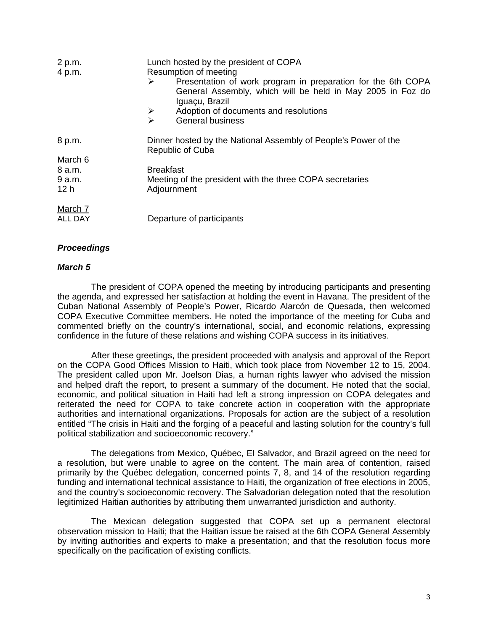| 2 p.m.  | Lunch hosted by the president of COPA                                                                                                             |
|---------|---------------------------------------------------------------------------------------------------------------------------------------------------|
| 4 p.m.  | Resumption of meeting                                                                                                                             |
|         | Presentation of work program in preparation for the 6th COPA<br>➤<br>General Assembly, which will be held in May 2005 in Foz do<br>Iguaçu, Brazil |
|         | Adoption of documents and resolutions<br>➤                                                                                                        |
|         | <b>General business</b><br>↘                                                                                                                      |
| 8 p.m.  | Dinner hosted by the National Assembly of People's Power of the<br>Republic of Cuba                                                               |
| March 6 |                                                                                                                                                   |
| 8 a.m.  | <b>Breakfast</b>                                                                                                                                  |
| 9a.m.   | Meeting of the president with the three COPA secretaries                                                                                          |
| 12 h    | Adjournment                                                                                                                                       |
| March 7 |                                                                                                                                                   |
| ALL DAY | Departure of participants                                                                                                                         |

# *Proceedings*

### *March 5*

The president of COPA opened the meeting by introducing participants and presenting the agenda, and expressed her satisfaction at holding the event in Havana. The president of the Cuban National Assembly of People's Power, Ricardo Alarcón de Quesada, then welcomed COPA Executive Committee members. He noted the importance of the meeting for Cuba and commented briefly on the country's international, social, and economic relations, expressing confidence in the future of these relations and wishing COPA success in its initiatives.

After these greetings, the president proceeded with analysis and approval of the Report on the COPA Good Offices Mission to Haiti, which took place from November 12 to 15, 2004. The president called upon Mr. Joelson Dias, a human rights lawyer who advised the mission and helped draft the report, to present a summary of the document. He noted that the social, economic, and political situation in Haiti had left a strong impression on COPA delegates and reiterated the need for COPA to take concrete action in cooperation with the appropriate authorities and international organizations. Proposals for action are the subject of a resolution entitled "The crisis in Haiti and the forging of a peaceful and lasting solution for the country's full political stabilization and socioeconomic recovery."

The delegations from Mexico, Québec, El Salvador, and Brazil agreed on the need for a resolution, but were unable to agree on the content. The main area of contention, raised primarily by the Québec delegation, concerned points 7, 8, and 14 of the resolution regarding funding and international technical assistance to Haiti, the organization of free elections in 2005, and the country's socioeconomic recovery. The Salvadorian delegation noted that the resolution legitimized Haitian authorities by attributing them unwarranted jurisdiction and authority.

The Mexican delegation suggested that COPA set up a permanent electoral observation mission to Haiti; that the Haitian issue be raised at the 6th COPA General Assembly by inviting authorities and experts to make a presentation; and that the resolution focus more specifically on the pacification of existing conflicts.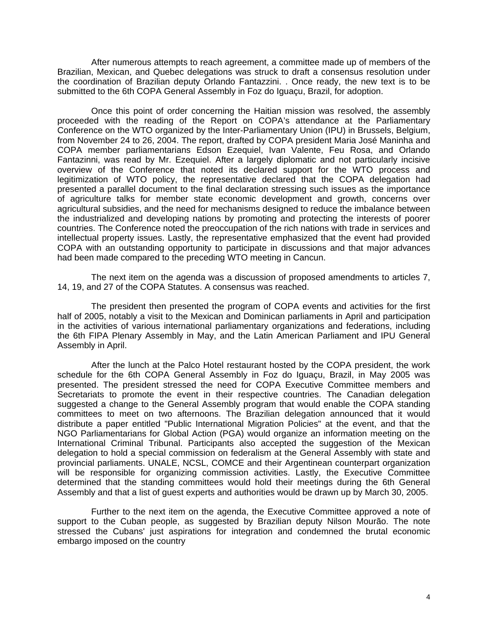After numerous attempts to reach agreement, a committee made up of members of the Brazilian, Mexican, and Quebec delegations was struck to draft a consensus resolution under the coordination of Brazilian deputy Orlando Fantazzini. . Once ready, the new text is to be submitted to the 6th COPA General Assembly in Foz do Iguaçu, Brazil, for adoption.

Once this point of order concerning the Haitian mission was resolved, the assembly proceeded with the reading of the Report on COPA's attendance at the Parliamentary Conference on the WTO organized by the Inter-Parliamentary Union (IPU) in Brussels, Belgium, from November 24 to 26, 2004. The report, drafted by COPA president Maria José Maninha and COPA member parliamentarians Edson Ezequiel, Ivan Valente, Feu Rosa, and Orlando Fantazinni, was read by Mr. Ezequiel. After a largely diplomatic and not particularly incisive overview of the Conference that noted its declared support for the WTO process and legitimization of WTO policy, the representative declared that the COPA delegation had presented a parallel document to the final declaration stressing such issues as the importance of agriculture talks for member state economic development and growth, concerns over agricultural subsidies, and the need for mechanisms designed to reduce the imbalance between the industrialized and developing nations by promoting and protecting the interests of poorer countries. The Conference noted the preoccupation of the rich nations with trade in services and intellectual property issues. Lastly, the representative emphasized that the event had provided COPA with an outstanding opportunity to participate in discussions and that major advances had been made compared to the preceding WTO meeting in Cancun.

The next item on the agenda was a discussion of proposed amendments to articles 7, 14, 19, and 27 of the COPA Statutes. A consensus was reached.

The president then presented the program of COPA events and activities for the first half of 2005, notably a visit to the Mexican and Dominican parliaments in April and participation in the activities of various international parliamentary organizations and federations, including the 6th FIPA Plenary Assembly in May, and the Latin American Parliament and IPU General Assembly in April.

After the lunch at the Palco Hotel restaurant hosted by the COPA president, the work schedule for the 6th COPA General Assembly in Foz do Iguaçu, Brazil, in May 2005 was presented. The president stressed the need for COPA Executive Committee members and Secretariats to promote the event in their respective countries. The Canadian delegation suggested a change to the General Assembly program that would enable the COPA standing committees to meet on two afternoons. The Brazilian delegation announced that it would distribute a paper entitled "Public International Migration Policies" at the event, and that the NGO Parliamentarians for Global Action (PGA) would organize an information meeting on the International Criminal Tribunal. Participants also accepted the suggestion of the Mexican delegation to hold a special commission on federalism at the General Assembly with state and provincial parliaments. UNALE, NCSL, COMCE and their Argentinean counterpart organization will be responsible for organizing commission activities. Lastly, the Executive Committee determined that the standing committees would hold their meetings during the 6th General Assembly and that a list of guest experts and authorities would be drawn up by March 30, 2005.

Further to the next item on the agenda, the Executive Committee approved a note of support to the Cuban people, as suggested by Brazilian deputy Nilson Mourão. The note stressed the Cubans' just aspirations for integration and condemned the brutal economic embargo imposed on the country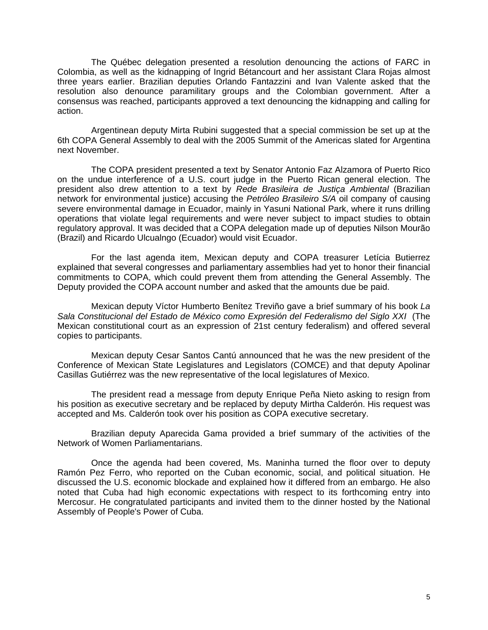The Québec delegation presented a resolution denouncing the actions of FARC in Colombia, as well as the kidnapping of Ingrid Bétancourt and her assistant Clara Rojas almost three years earlier. Brazilian deputies Orlando Fantazzini and Ivan Valente asked that the resolution also denounce paramilitary groups and the Colombian government. After a consensus was reached, participants approved a text denouncing the kidnapping and calling for action.

Argentinean deputy Mirta Rubini suggested that a special commission be set up at the 6th COPA General Assembly to deal with the 2005 Summit of the Americas slated for Argentina next November.

The COPA president presented a text by Senator Antonio Faz Alzamora of Puerto Rico on the undue interference of a U.S. court judge in the Puerto Rican general election. The president also drew attention to a text by *Rede Brasileira de Justiça Ambiental* (Brazilian network for environmental justice) accusing the *Petróleo Brasileiro S/A* oil company of causing severe environmental damage in Ecuador, mainly in Yasuni National Park, where it runs drilling operations that violate legal requirements and were never subject to impact studies to obtain regulatory approval. It was decided that a COPA delegation made up of deputies Nilson Mourão (Brazil) and Ricardo Ulcualngo (Ecuador) would visit Ecuador.

For the last agenda item, Mexican deputy and COPA treasurer Letícia Butierrez explained that several congresses and parliamentary assemblies had yet to honor their financial commitments to COPA, which could prevent them from attending the General Assembly. The Deputy provided the COPA account number and asked that the amounts due be paid.

Mexican deputy Víctor Humberto Benítez Treviño gave a brief summary of his book *La Sala Constitucional del Estado de México como Expresión del Federalismo del Siglo XXI* (The Mexican constitutional court as an expression of 21st century federalism) and offered several copies to participants.

Mexican deputy Cesar Santos Cantú announced that he was the new president of the Conference of Mexican State Legislatures and Legislators (COMCE) and that deputy Apolinar Casillas Gutiérrez was the new representative of the local legislatures of Mexico.

The president read a message from deputy Enrique Peña Nieto asking to resign from his position as executive secretary and be replaced by deputy Mirtha Calderón. His request was accepted and Ms. Calderón took over his position as COPA executive secretary.

Brazilian deputy Aparecida Gama provided a brief summary of the activities of the Network of Women Parliamentarians.

Once the agenda had been covered, Ms. Maninha turned the floor over to deputy Ramón Pez Ferro, who reported on the Cuban economic, social, and political situation. He discussed the U.S. economic blockade and explained how it differed from an embargo. He also noted that Cuba had high economic expectations with respect to its forthcoming entry into Mercosur. He congratulated participants and invited them to the dinner hosted by the National Assembly of People's Power of Cuba.